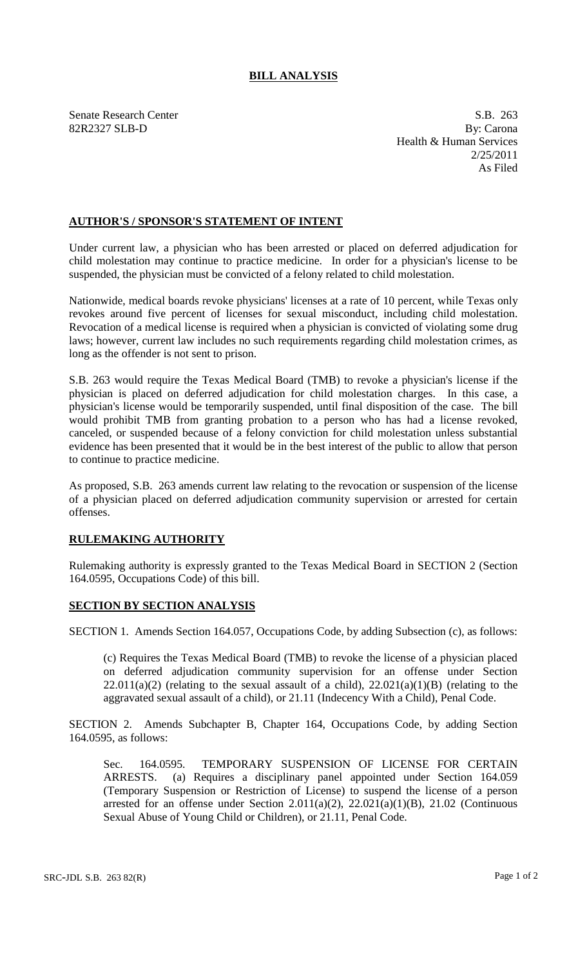## **BILL ANALYSIS**

Senate Research Center S.B. 263 82R2327 SLB-D By: Carona Health & Human Services 2/25/2011 As Filed

## **AUTHOR'S / SPONSOR'S STATEMENT OF INTENT**

Under current law, a physician who has been arrested or placed on deferred adjudication for child molestation may continue to practice medicine. In order for a physician's license to be suspended, the physician must be convicted of a felony related to child molestation.

Nationwide, medical boards revoke physicians' licenses at a rate of 10 percent, while Texas only revokes around five percent of licenses for sexual misconduct, including child molestation. Revocation of a medical license is required when a physician is convicted of violating some drug laws; however, current law includes no such requirements regarding child molestation crimes, as long as the offender is not sent to prison.

S.B. 263 would require the Texas Medical Board (TMB) to revoke a physician's license if the physician is placed on deferred adjudication for child molestation charges. In this case, a physician's license would be temporarily suspended, until final disposition of the case. The bill would prohibit TMB from granting probation to a person who has had a license revoked, canceled, or suspended because of a felony conviction for child molestation unless substantial evidence has been presented that it would be in the best interest of the public to allow that person to continue to practice medicine.

As proposed, S.B. 263 amends current law relating to the revocation or suspension of the license of a physician placed on deferred adjudication community supervision or arrested for certain offenses.

## **RULEMAKING AUTHORITY**

Rulemaking authority is expressly granted to the Texas Medical Board in SECTION 2 (Section 164.0595, Occupations Code) of this bill.

## **SECTION BY SECTION ANALYSIS**

SECTION 1. Amends Section 164.057, Occupations Code, by adding Subsection (c), as follows:

(c) Requires the Texas Medical Board (TMB) to revoke the license of a physician placed on deferred adjudication community supervision for an offense under Section  $22.011(a)(2)$  (relating to the sexual assault of a child),  $22.021(a)(1)(B)$  (relating to the aggravated sexual assault of a child), or 21.11 (Indecency With a Child), Penal Code.

SECTION 2. Amends Subchapter B, Chapter 164, Occupations Code, by adding Section 164.0595, as follows:

Sec. 164.0595. TEMPORARY SUSPENSION OF LICENSE FOR CERTAIN ARRESTS. (a) Requires a disciplinary panel appointed under Section 164.059 (Temporary Suspension or Restriction of License) to suspend the license of a person arrested for an offense under Section 2.011(a)(2), 22.021(a)(1)(B), 21.02 (Continuous Sexual Abuse of Young Child or Children), or 21.11, Penal Code.